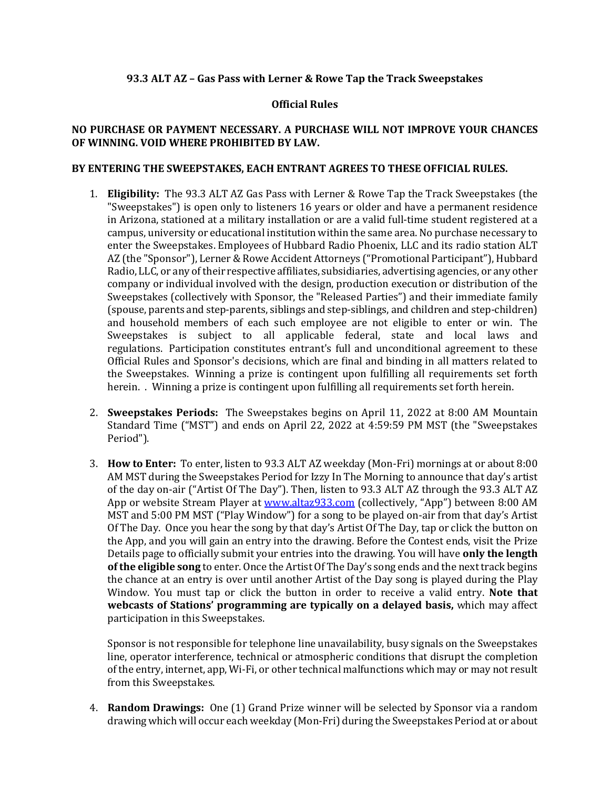## **93.3 ALT AZ – Gas Pass with Lerner & Rowe Tap the Track Sweepstakes**

## **Official Rules**

## **NO PURCHASE OR PAYMENT NECESSARY. A PURCHASE WILL NOT IMPROVE YOUR CHANCES OF WINNING. VOID WHERE PROHIBITED BY LAW.**

## **BY ENTERING THE SWEEPSTAKES, EACH ENTRANT AGREES TO THESE OFFICIAL RULES.**

- 1. **Eligibility:** The 93.3 ALT AZ Gas Pass with Lerner & Rowe Tap the Track Sweepstakes (the "Sweepstakes") is open only to listeners 16 years or older and have a permanent residence in Arizona, stationed at a military installation or are a valid full-time student registered at a campus, university or educational institution within the same area. No purchase necessary to enter the Sweepstakes. Employees of Hubbard Radio Phoenix, LLC and its radio station ALT AZ (the "Sponsor"), Lerner & Rowe Accident Attorneys ("Promotional Participant"), Hubbard Radio, LLC, or any of their respective affiliates, subsidiaries, advertising agencies, or any other company or individual involved with the design, production execution or distribution of the Sweepstakes (collectively with Sponsor, the "Released Parties") and their immediate family (spouse, parents and step-parents, siblings and step-siblings, and children and step-children) and household members of each such employee are not eligible to enter or win. The Sweepstakes is subject to all applicable federal, state and local laws and regulations. Participation constitutes entrant's full and unconditional agreement to these Official Rules and Sponsor's decisions, which are final and binding in all matters related to the Sweepstakes. Winning a prize is contingent upon fulfilling all requirements set forth herein. . Winning a prize is contingent upon fulfilling all requirements set forth herein.
- 2. **Sweepstakes Periods:** The Sweepstakes begins on April 11, 2022 at 8:00 AM Mountain Standard Time ("MST") and ends on April 22, 2022 at 4:59:59 PM MST (the "Sweepstakes Period").
- 3. **How to Enter:** To enter, listen to 93.3 ALT AZ weekday (Mon-Fri) mornings at or about 8:00 AM MST during the Sweepstakes Period for Izzy In The Morning to announce that day's artist of the day on-air ("Artist Of The Day"). Then, listen to 93.3 ALT AZ through the 93.3 ALT AZ App or website Stream Player at [www.altaz933.com](http://www.altaz933.com/) (collectively, "App") between 8:00 AM MST and 5:00 PM MST ("Play Window") for a song to be played on-air from that day's Artist Of The Day. Once you hear the song by that day's Artist Of The Day, tap or click the button on the App, and you will gain an entry into the drawing. Before the Contest ends, visit the Prize Details page to officially submit your entries into the drawing. You will have **only the length of the eligible song** to enter. Once the Artist Of The Day's song ends and the next track begins the chance at an entry is over until another Artist of the Day song is played during the Play Window. You must tap or click the button in order to receive a valid entry. **Note that webcasts of Stations' programming are typically on a delayed basis,** which may affect participation in this Sweepstakes.

Sponsor is not responsible for telephone line unavailability, busy signals on the Sweepstakes line, operator interference, technical or atmospheric conditions that disrupt the completion of the entry, internet, app, Wi-Fi, or other technical malfunctions which may or may not result from this Sweepstakes.

4. **Random Drawings:** One (1) Grand Prize winner will be selected by Sponsor via a random drawing which will occur each weekday (Mon-Fri) during the Sweepstakes Period at or about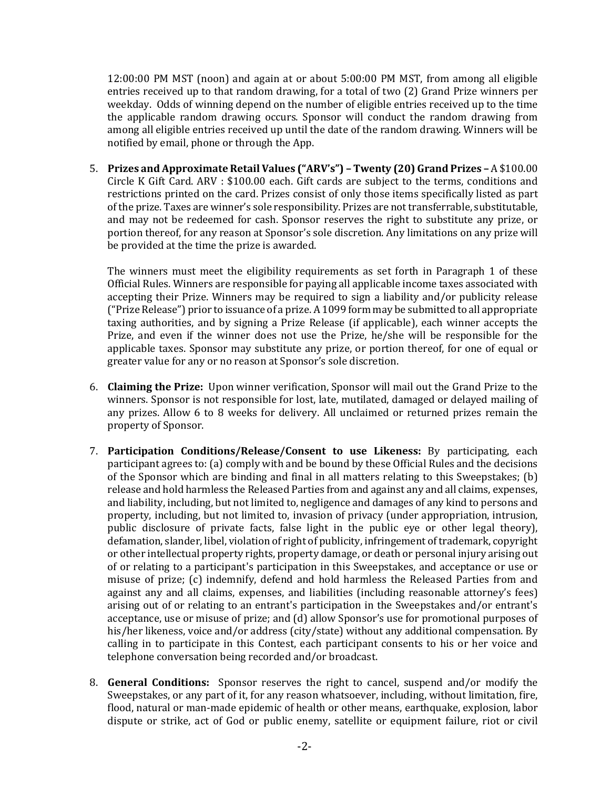12:00:00 PM MST (noon) and again at or about 5:00:00 PM MST, from among all eligible entries received up to that random drawing, for a total of two (2) Grand Prize winners per weekday. Odds of winning depend on the number of eligible entries received up to the time the applicable random drawing occurs. Sponsor will conduct the random drawing from among all eligible entries received up until the date of the random drawing. Winners will be notified by email, phone or through the App.

5. **Prizes and Approximate Retail Values ("ARV's") – Twenty (20) Grand Prizes –** A \$100.00 Circle K Gift Card. ARV : \$100.00 each. Gift cards are subject to the terms, conditions and restrictions printed on the card. Prizes consist of only those items specifically listed as part of the prize. Taxes are winner's sole responsibility. Prizes are not transferrable, substitutable, and may not be redeemed for cash. Sponsor reserves the right to substitute any prize, or portion thereof, for any reason at Sponsor's sole discretion. Any limitations on any prize will be provided at the time the prize is awarded.

The winners must meet the eligibility requirements as set forth in Paragraph 1 of these Official Rules. Winners are responsible for paying all applicable income taxes associated with accepting their Prize. Winners may be required to sign a liability and/or publicity release ("Prize Release") prior to issuance of a prize. A 1099 form may be submitted to all appropriate taxing authorities, and by signing a Prize Release (if applicable), each winner accepts the Prize, and even if the winner does not use the Prize, he/she will be responsible for the applicable taxes. Sponsor may substitute any prize, or portion thereof, for one of equal or greater value for any or no reason at Sponsor's sole discretion.

- 6. **Claiming the Prize:** Upon winner verification, Sponsor will mail out the Grand Prize to the winners. Sponsor is not responsible for lost, late, mutilated, damaged or delayed mailing of any prizes. Allow 6 to 8 weeks for delivery. All unclaimed or returned prizes remain the property of Sponsor.
- 7. **Participation Conditions/Release/Consent to use Likeness:** By participating, each participant agrees to: (a) comply with and be bound by these Official Rules and the decisions of the Sponsor which are binding and final in all matters relating to this Sweepstakes; (b) release and hold harmless the Released Parties from and against any and all claims, expenses, and liability, including, but not limited to, negligence and damages of any kind to persons and property, including, but not limited to, invasion of privacy (under appropriation, intrusion, public disclosure of private facts, false light in the public eye or other legal theory), defamation, slander, libel, violation of right of publicity, infringement of trademark, copyright or other intellectual property rights, property damage, or death or personal injury arising out of or relating to a participant's participation in this Sweepstakes, and acceptance or use or misuse of prize; (c) indemnify, defend and hold harmless the Released Parties from and against any and all claims, expenses, and liabilities (including reasonable attorney's fees) arising out of or relating to an entrant's participation in the Sweepstakes and/or entrant's acceptance, use or misuse of prize; and (d) allow Sponsor's use for promotional purposes of his/her likeness, voice and/or address (city/state) without any additional compensation. By calling in to participate in this Contest, each participant consents to his or her voice and telephone conversation being recorded and/or broadcast.
- 8. **General Conditions:** Sponsor reserves the right to cancel, suspend and/or modify the Sweepstakes, or any part of it, for any reason whatsoever, including, without limitation, fire, flood, natural or man-made epidemic of health or other means, earthquake, explosion, labor dispute or strike, act of God or public enemy, satellite or equipment failure, riot or civil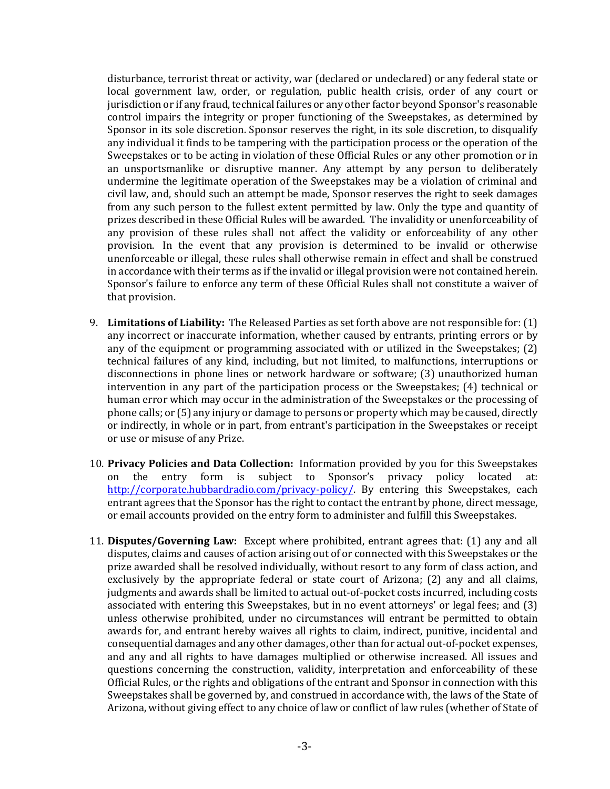disturbance, terrorist threat or activity, war (declared or undeclared) or any federal state or local government law, order, or regulation, public health crisis, order of any court or jurisdiction or if any fraud, technical failures or any other factor beyond Sponsor's reasonable control impairs the integrity or proper functioning of the Sweepstakes, as determined by Sponsor in its sole discretion. Sponsor reserves the right, in its sole discretion, to disqualify any individual it finds to be tampering with the participation process or the operation of the Sweepstakes or to be acting in violation of these Official Rules or any other promotion or in an unsportsmanlike or disruptive manner. Any attempt by any person to deliberately undermine the legitimate operation of the Sweepstakes may be a violation of criminal and civil law, and, should such an attempt be made, Sponsor reserves the right to seek damages from any such person to the fullest extent permitted by law. Only the type and quantity of prizes described in these Official Rules will be awarded. The invalidity or unenforceability of any provision of these rules shall not affect the validity or enforceability of any other provision. In the event that any provision is determined to be invalid or otherwise unenforceable or illegal, these rules shall otherwise remain in effect and shall be construed in accordance with their terms as if the invalid or illegal provision were not contained herein. Sponsor's failure to enforce any term of these Official Rules shall not constitute a waiver of that provision.

- 9. **Limitations of Liability:** The Released Parties as set forth above are not responsible for: (1) any incorrect or inaccurate information, whether caused by entrants, printing errors or by any of the equipment or programming associated with or utilized in the Sweepstakes; (2) technical failures of any kind, including, but not limited, to malfunctions, interruptions or disconnections in phone lines or network hardware or software; (3) unauthorized human intervention in any part of the participation process or the Sweepstakes; (4) technical or human error which may occur in the administration of the Sweepstakes or the processing of phone calls; or (5) any injury or damage to persons or property which may be caused, directly or indirectly, in whole or in part, from entrant's participation in the Sweepstakes or receipt or use or misuse of any Prize.
- 10. **Privacy Policies and Data Collection:** Information provided by you for this Sweepstakes the entry form is subject to Sponsor's privacy policy located [http://corporate.hubbardradio.com/privacy-policy/.](http://corporate.hubbardradio.com/privacy-policy/) By entering this Sweepstakes, each entrant agrees that the Sponsor has the right to contact the entrant by phone, direct message, or email accounts provided on the entry form to administer and fulfill this Sweepstakes.
- 11. **Disputes/Governing Law:** Except where prohibited, entrant agrees that: (1) any and all disputes, claims and causes of action arising out of or connected with this Sweepstakes or the prize awarded shall be resolved individually, without resort to any form of class action, and exclusively by the appropriate federal or state court of Arizona; (2) any and all claims, judgments and awards shall be limited to actual out-of-pocket costs incurred, including costs associated with entering this Sweepstakes, but in no event attorneys' or legal fees; and (3) unless otherwise prohibited, under no circumstances will entrant be permitted to obtain awards for, and entrant hereby waives all rights to claim, indirect, punitive, incidental and consequential damages and any other damages, other than for actual out-of-pocket expenses, and any and all rights to have damages multiplied or otherwise increased. All issues and questions concerning the construction, validity, interpretation and enforceability of these Official Rules, or the rights and obligations of the entrant and Sponsor in connection with this Sweepstakes shall be governed by, and construed in accordance with, the laws of the State of Arizona, without giving effect to any choice of law or conflict of law rules (whether of State of